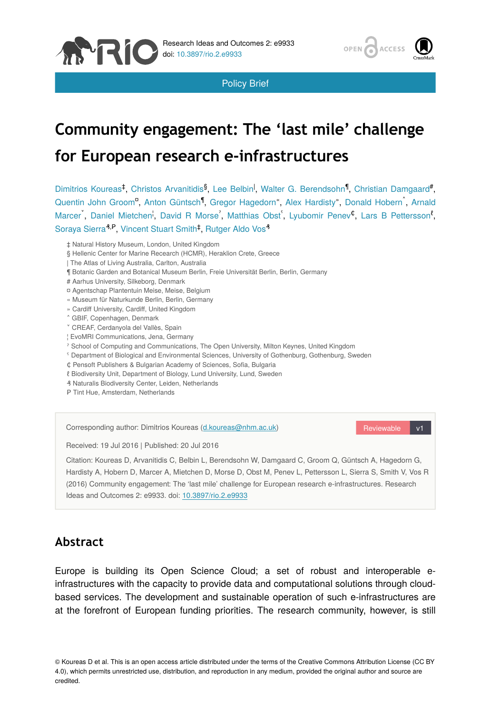



Policy Brief

# **Community engagement: The 'last mile' challenge for European research e-infrastructures**

Dimitrios Koureas<sup>‡</sup>, Christos Arvanitidis<sup>§</sup>, Lee Belbin<sup>1</sup>, Walter G. Berendsohn<sup>1</sup>, Christian Damgaard<sup>#</sup>, Quentin John Groom<sup>a</sup>, Anton Güntsch<sup>1</sup>, Gregor Hagedorn", Alex Hardisty", Donald Hobern<sup>®</sup>, Arnald Marcer, Daniel Mietchen<sup>i</sup>, David R Morse<sup>'</sup>, Matthias Obst<sup>'</sup>, Lyubomir Penev<sup>¢</sup>, Lars B Pettersson<sup>*t*</sup>, Soraya Sierra<sup>3,P</sup>, Vincent Stuart Smith<sup>‡</sup>, Rutger Aldo Vos<sup>3</sup>

- ‡ Natural History Museum, London, United Kingdom
- § Hellenic Center for Marine Recearch (HCMR), Heraklion Crete, Greece
- | The Atlas of Living Australia, Carlton, Australia
- ¶ Botanic Garden and Botanical Museum Berlin, Freie Universität Berlin, Berlin, Germany
- # Aarhus University, Silkeborg, Denmark
- ¤ Agentschap Plantentuin Meise, Meise, Belgium
- « Museum für Naturkunde Berlin, Berlin, Germany
- » Cardiff University, Cardiff, United Kingdom
- ˄ GBIF, Copenhagen, Denmark
- ˅ CREAF, Cerdanyola del Vallès, Spain
- ¦ EvoMRI Communications, Jena, Germany
- ˀ School of Computing and Communications, The Open University, Milton Keynes, United Kingdom
- ˁ Department of Biological and Environmental Sciences, University of Gothenburg, Gothenburg, Sweden
- ₵ Pensoft Publishers & Bulgarian Academy of Sciences, Sofia, Bulgaria
- ℓ Biodiversity Unit, Department of Biology, Lund University, Lund, Sweden
- ₰ Naturalis Biodiversity Center, Leiden, Netherlands
- P Tint Hue, Amsterdam, Netherlands



# **Abstract**

Europe is building its Open Science Cloud; a set of robust and interoperable einfrastructures with the capacity to provide data and computational solutions through cloudbased services. The development and sustainable operation of such e-infrastructures are at the forefront of European funding priorities. The research community, however, is still

© Koureas D et al. This is an open access article distributed under the terms of the Creative Commons Attribution License (CC BY 4.0), which permits unrestricted use, distribution, and reproduction in any medium, provided the original author and source are credited.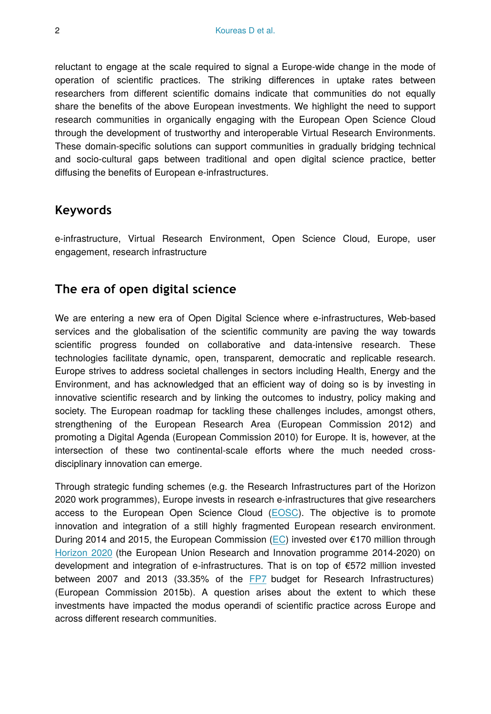reluctant to engage at the scale required to signal a Europe-wide change in the mode of operation of scientific practices. The striking differences in uptake rates between researchers from different scientific domains indicate that communities do not equally share the benefits of the above European investments. We highlight the need to support research communities in organically engaging with the European Open Science Cloud through the development of trustworthy and interoperable Virtual Research Environments. These domain-specific solutions can support communities in gradually bridging technical and socio-cultural gaps between traditional and open digital science practice, better diffusing the benefits of European e-infrastructures.

#### **Keywords**

e-infrastructure, Virtual Research Environment, Open Science Cloud, Europe, user engagement, research infrastructure

## **The era of open digital science**

We are entering a new era of Open Digital Science where e-infrastructures, Web-based services and the globalisation of the scientific community are paving the way towards scientific progress founded on collaborative and data-intensive research. These technologies facilitate dynamic, open, transparent, democratic and replicable research. Europe strives to address societal challenges in sectors including Health, Energy and the Environment, and has acknowledged that an efficient way of doing so is by investing in innovative scientific research and by linking the outcomes to industry, policy making and society. The European roadmap for tackling these challenges includes, amongst others, strengthening of the European Research Area (European Commission 2012) and promoting a Digital Agenda (European Commission 2010) for Europe. It is, however, at the intersection of these two continental-scale efforts where the much needed crossdisciplinary innovation can emerge.

Through strategic funding schemes (e.g. the Research Infrastructures part of the Horizon 2020 work programmes), Europe invests in research e-infrastructures that give researchers access to the European Open Science Cloud ([EOSC](http://ec.europa.eu/research/openscience/index.cfm?pg=open-science-cloud)). The objective is to promote innovation and integration of a still highly fragmented European research environment. During 2014 and 2015, the European Commission ([EC](http://ec.europa.eu/index_en.htm)) invested over €170 million through [Horizon 2020](https://ec.europa.eu/programmes/horizon2020/en/what-horizon-2020) (the European Union Research and Innovation programme 2014-2020) on development and integration of e-infrastructures. That is on top of €572 million invested between 2007 and 2013 (33.35% of the [FP7](https://ec.europa.eu/research/fp7/index_en.cfm) budget for Research Infrastructures) (European Commission 2015b). A question arises about the extent to which these investments have impacted the modus operandi of scientific practice across Europe and across different research communities.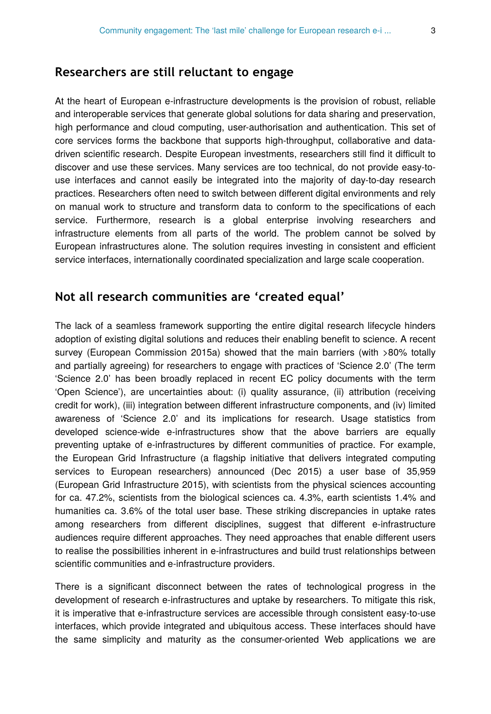## **Researchers are still reluctant to engage**

At the heart of European e-infrastructure developments is the provision of robust, reliable and interoperable services that generate global solutions for data sharing and preservation, high performance and cloud computing, user-authorisation and authentication. This set of core services forms the backbone that supports high-throughput, collaborative and datadriven scientific research. Despite European investments, researchers still find it difficult to discover and use these services. Many services are too technical, do not provide easy-touse interfaces and cannot easily be integrated into the majority of day-to-day research practices. Researchers often need to switch between different digital environments and rely on manual work to structure and transform data to conform to the specifications of each service. Furthermore, research is a global enterprise involving researchers and infrastructure elements from all parts of the world. The problem cannot be solved by European infrastructures alone. The solution requires investing in consistent and efficient service interfaces, internationally coordinated specialization and large scale cooperation.

#### **Not all research communities are 'created equal'**

The lack of a seamless framework supporting the entire digital research lifecycle hinders adoption of existing digital solutions and reduces their enabling benefit to science. A recent survey (European Commission 2015a) showed that the main barriers (with >80% totally and partially agreeing) for researchers to engage with practices of 'Science 2.0' (The term 'Science 2.0' has been broadly replaced in recent EC policy documents with the term 'Open Science'), are uncertainties about: (i) quality assurance, (ii) attribution (receiving credit for work), (iii) integration between different infrastructure components, and (iv) limited awareness of 'Science 2.0' and its implications for research. Usage statistics from developed science-wide e-infrastructures show that the above barriers are equally preventing uptake of e-infrastructures by different communities of practice. For example, the European Grid Infrastructure (a flagship initiative that delivers integrated computing services to European researchers) announced (Dec 2015) a user base of 35,959 (European Grid Infrastructure 2015), with scientists from the physical sciences accounting for ca. 47.2%, scientists from the biological sciences ca. 4.3%, earth scientists 1.4% and humanities ca. 3.6% of the total user base. These striking discrepancies in uptake rates among researchers from different disciplines, suggest that different e-infrastructure audiences require different approaches. They need approaches that enable different users to realise the possibilities inherent in e-infrastructures and build trust relationships between scientific communities and e-infrastructure providers.

There is a significant disconnect between the rates of technological progress in the development of research e-infrastructures and uptake by researchers. To mitigate this risk, it is imperative that e-infrastructure services are accessible through consistent easy-to-use interfaces, which provide integrated and ubiquitous access. These interfaces should have the same simplicity and maturity as the consumer-oriented Web applications we are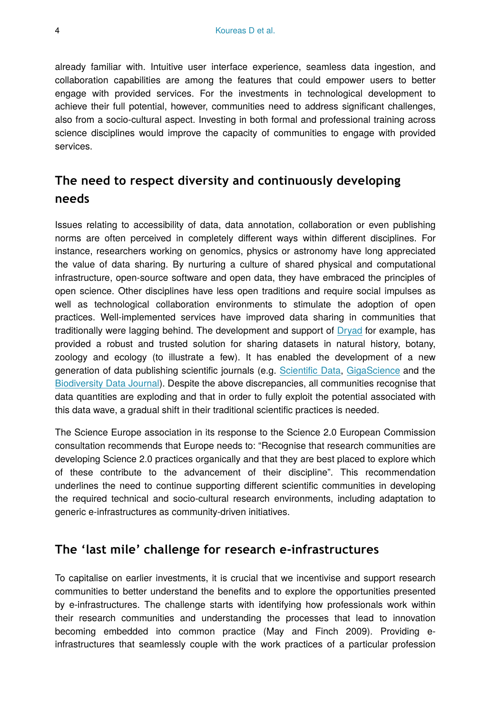already familiar with. Intuitive user interface experience, seamless data ingestion, and collaboration capabilities are among the features that could empower users to better engage with provided services. For the investments in technological development to achieve their full potential, however, communities need to address significant challenges, also from a socio-cultural aspect. Investing in both formal and professional training across science disciplines would improve the capacity of communities to engage with provided services.

# **The need to respect diversity and continuously developing needs**

Issues relating to accessibility of data, data annotation, collaboration or even publishing norms are often perceived in completely different ways within different disciplines. For instance, researchers working on genomics, physics or astronomy have long appreciated the value of data sharing. By nurturing a culture of shared physical and computational infrastructure, open-source software and open data, they have embraced the principles of open science. Other disciplines have less open traditions and require social impulses as well as technological collaboration environments to stimulate the adoption of open practices. Well-implemented services have improved data sharing in communities that traditionally were lagging behind. The development and support of [Dryad](http://datadryad.org) for example, has provided a robust and trusted solution for sharing datasets in natural history, botany, zoology and ecology (to illustrate a few). It has enabled the development of a new generation of data publishing scientific journals (e.g. Scientifi[c Data,](http://www.nature.com/sdata/) [GigaScience](http://gigascience.biomedcentral.com) and the [Biodiversity Data Journal\)](http://biodiversitydatajournal.com). Despite the above discrepancies, all communities recognise that data quantities are exploding and that in order to fully exploit the potential associated with this data wave, a gradual shift in their traditional scientific practices is needed.

The Science Europe association in its response to the Science 2.0 European Commission consultation recommends that Europe needs to: "Recognise that research communities are developing Science 2.0 practices organically and that they are best placed to explore which of these contribute to the advancement of their discipline". This recommendation underlines the need to continue supporting different scientific communities in developing the required technical and socio-cultural research environments, including adaptation to generic e-infrastructures as community-driven initiatives.

# **The 'last mile' challenge for research e-infrastructures**

To capitalise on earlier investments, it is crucial that we incentivise and support research communities to better understand the benefits and to explore the opportunities presented by e-infrastructures. The challenge starts with identifying how professionals work within their research communities and understanding the processes that lead to innovation becoming embedded into common practice (May and Finch 2009). Providing einfrastructures that seamlessly couple with the work practices of a particular profession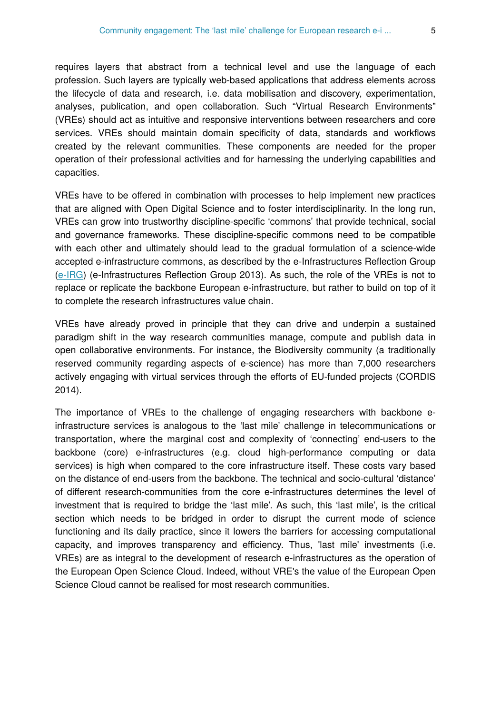requires layers that abstract from a technical level and use the language of each profession. Such layers are typically web-based applications that address elements across the lifecycle of data and research, i.e. data mobilisation and discovery, experimentation, analyses, publication, and open collaboration. Such "Virtual Research Environments" (VREs) should act as intuitive and responsive interventions between researchers and core services. VREs should maintain domain specificity of data, standards and workflows created by the relevant communities. These components are needed for the proper operation of their professional activities and for harnessing the underlying capabilities and capacities.

VREs have to be offered in combination with processes to help implement new practices that are aligned with Open Digital Science and to foster interdisciplinarity. In the long run, VREs can grow into trustworthy discipline-specific 'commons' that provide technical, social and governance frameworks. These discipline-specific commons need to be compatible with each other and ultimately should lead to the gradual formulation of a science-wide accepted e-infrastructure commons, as described by the e-Infrastructures Reflection Group [\(e-IRG](http://e-irg.eu/)) (e-Infrastructures Reflection Group 2013). As such, the role of the VREs is not to replace or replicate the backbone European e-infrastructure, but rather to build on top of it to complete the research infrastructures value chain.

VREs have already proved in principle that they can drive and underpin a sustained paradigm shift in the way research communities manage, compute and publish data in open collaborative environments. For instance, the Biodiversity community (a traditionally reserved community regarding aspects of e-science) has more than 7,000 researchers actively engaging with virtual services through the efforts of EU-funded projects (CORDIS 2014).

The importance of VREs to the challenge of engaging researchers with backbone einfrastructure services is analogous to the 'last mile' challenge in telecommunications or transportation, where the marginal cost and complexity of 'connecting' end-users to the backbone (core) e-infrastructures (e.g. cloud high-performance computing or data services) is high when compared to the core infrastructure itself. These costs vary based on the distance of end-users from the backbone. The technical and socio-cultural 'distance' of different research-communities from the core e-infrastructures determines the level of investment that is required to bridge the 'last mile'. As such, this 'last mile', is the critical section which needs to be bridged in order to disrupt the current mode of science functioning and its daily practice, since it lowers the barriers for accessing computational capacity, and improves transparency and efficiency. Thus, 'last mile' investments (i.e. VREs) are as integral to the development of research e-infrastructures as the operation of the European Open Science Cloud. Indeed, without VRE's the value of the European Open Science Cloud cannot be realised for most research communities.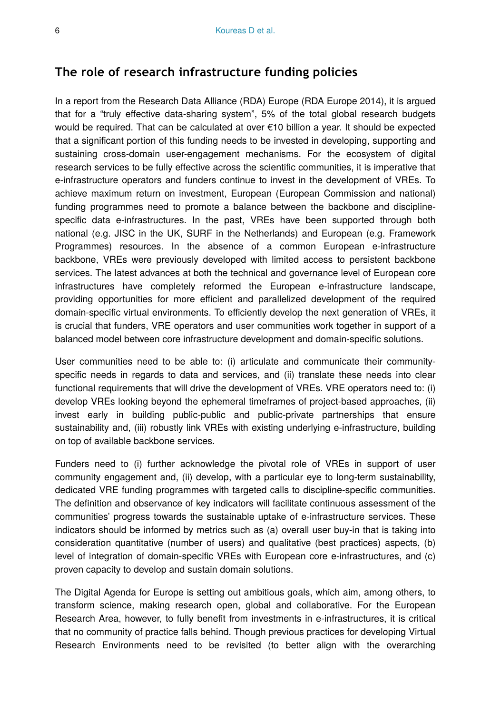## **The role of research infrastructure funding policies**

In a report from the Research Data Alliance (RDA) Europe (RDA Europe 2014), it is argued that for a "truly effective data-sharing system", 5% of the total global research budgets would be required. That can be calculated at over €10 billion a year. It should be expected that a significant portion of this funding needs to be invested in developing, supporting and sustaining cross-domain user-engagement mechanisms. For the ecosystem of digital research services to be fully effective across the scientific communities, it is imperative that e-infrastructure operators and funders continue to invest in the development of VREs. To achieve maximum return on investment, European (European Commission and national) funding programmes need to promote a balance between the backbone and disciplinespecific data e-infrastructures. In the past, VREs have been supported through both national (e.g. JISC in the UK, SURF in the Netherlands) and European (e.g. Framework Programmes) resources. In the absence of a common European e-infrastructure backbone, VREs were previously developed with limited access to persistent backbone services. The latest advances at both the technical and governance level of European core infrastructures have completely reformed the European e-infrastructure landscape, providing opportunities for more efficient and parallelized development of the required domain-specific virtual environments. To efficiently develop the next generation of VREs, it is crucial that funders, VRE operators and user communities work together in support of a balanced model between core infrastructure development and domain-specific solutions.

User communities need to be able to: (i) articulate and communicate their communityspecific needs in regards to data and services, and (ii) translate these needs into clear functional requirements that will drive the development of VREs. VRE operators need to: (i) develop VREs looking beyond the ephemeral timeframes of project-based approaches, (ii) invest early in building public-public and public-private partnerships that ensure sustainability and, (iii) robustly link VREs with existing underlying e-infrastructure, building on top of available backbone services.

Funders need to (i) further acknowledge the pivotal role of VREs in support of user community engagement and, (ii) develop, with a particular eye to long-term sustainability, dedicated VRE funding programmes with targeted calls to discipline-specific communities. The definition and observance of key indicators will facilitate continuous assessment of the communities' progress towards the sustainable uptake of e-infrastructure services. These indicators should be informed by metrics such as (a) overall user buy-in that is taking into consideration quantitative (number of users) and qualitative (best practices) aspects, (b) level of integration of domain-specific VREs with European core e-infrastructures, and (c) proven capacity to develop and sustain domain solutions.

The Digital Agenda for Europe is setting out ambitious goals, which aim, among others, to transform science, making research open, global and collaborative. For the European Research Area, however, to fully benefit from investments in e-infrastructures, it is critical that no community of practice falls behind. Though previous practices for developing Virtual Research Environments need to be revisited (to better align with the overarching